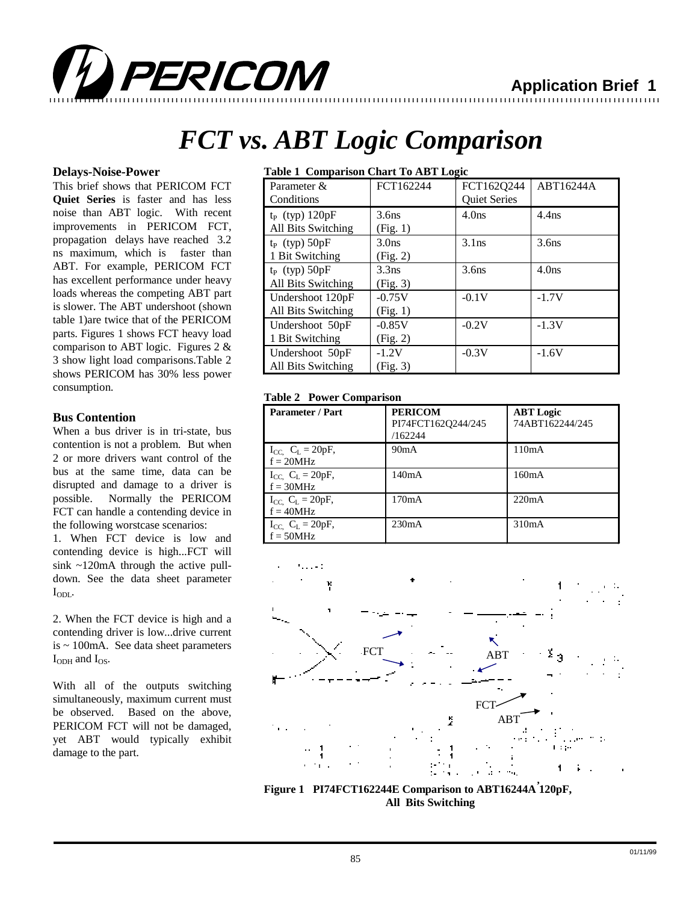

# *FCT vs. ABT Logic Comparison*

12345678901234567890123456789012123456789012345678901234567890121234567890123456789012345678901212345678901234567890123456789012123456789012 12345678901234567890123456789012123456789012345678901234567890121234567890123456789012345678901212345678901234567890123456789012123456789012

PERICOM

## **Delays-Noise-Power**

This brief shows that PERICOM FCT **Quiet Series** is faster and has less noise than ABT logic. With recent improvements in PERICOM FCT, propagation delays have reached 3.2 ns maximum, which is faster than ABT. For example, PERICOM FCT has excellent performance under heavy loads whereas the competing ABT part is slower. The ABT undershoot (shown table 1)are twice that of the PERICOM parts. Figures 1 shows FCT heavy load comparison to ABT logic. Figures 2 & 3 show light load comparisons.Table 2 shows PERICOM has 30% less power consumption.

### **Bus Contention**

When a bus driver is in tri-state, bus contention is not a problem. But when 2 or more drivers want control of the bus at the same time, data can be disrupted and damage to a driver is possible. Normally the PERICOM FCT can handle a contending device in the following worstcase scenarios:

1. When FCT device is low and contending device is high...FCT will sink ~120mA through the active pulldown. See the data sheet parameter  $I_{ODL}$ .

2. When the FCT device is high and a contending driver is low...drive current is ~ 100mA. See data sheet parameters  $I_{ODH}$  and  $I_{OS}$ .

With all of the outputs switching simultaneously, maximum current must be observed. Based on the above, PERICOM FCT will not be damaged, yet ABT would typically exhibit damage to the part.

## **Table 1 Comparison Chart To ABT Logic**

| Parameter &         | FCT162244         | FCT162Q244          | ABT16244A         |
|---------------------|-------------------|---------------------|-------------------|
| Conditions          |                   | <b>Quiet Series</b> |                   |
| $t_P$ (typ) $120pF$ | 3.6 <sub>ns</sub> | 4.0 <sub>ns</sub>   | $4.4$ ns          |
| All Bits Switching  | (Fig. 1)          |                     |                   |
| $t_P$ (typ) $50pF$  | 3.0 <sub>ns</sub> | $3.1$ ns            | 3.6 <sub>ns</sub> |
| 1 Bit Switching     | (Fig. 2)          |                     |                   |
| $t_{P}$ (typ) 50pF  | $3.3$ ns          | 3.6 <sub>ns</sub>   | 4.0ns             |
| All Bits Switching  | (Fig. 3)          |                     |                   |
| Undershoot 120pF    | $-0.75V$          | $-0.1V$             | $-1.7V$           |
| All Bits Switching  | (Fig. 1)          |                     |                   |
| Undershoot 50pF     | $-0.85V$          | $-0.2V$             | $-1.3V$           |
| 1 Bit Switching     | (Fig. 2)          |                     |                   |
| Undershoot 50pF     | $-1.2V$           | $-0.3V$             | $-1.6V$           |
| All Bits Switching  | (Fig. 3)          |                     |                   |

# **Table 2 Power Comparison**

| Parameter / Part                         | <b>PERICOM</b><br>PI74FCT162O244/245<br>/162244 | <b>ABT</b> Logic<br>74ABT162244/245 |
|------------------------------------------|-------------------------------------------------|-------------------------------------|
| $I_{CC}$ , $C_L = 20pF$ ,<br>$f = 20MHz$ | 90mA                                            | 110mA                               |
| $I_{CC}$ , $C_L = 20pF$ ,<br>$f = 30MHz$ | 140mA                                           | 160mA                               |
| $I_{CC}$ , $C_L = 20pF$ ,<br>$f = 40MHz$ | 170mA                                           | 220mA                               |
| $I_{CC}$ , $C_L = 20pF$ ,<br>$f = 50MHz$ | 230mA                                           | 310mA                               |



**Figure 1 PI74FCT162244E Comparison to ABT16244A 120pF, ,All Bits Switching**